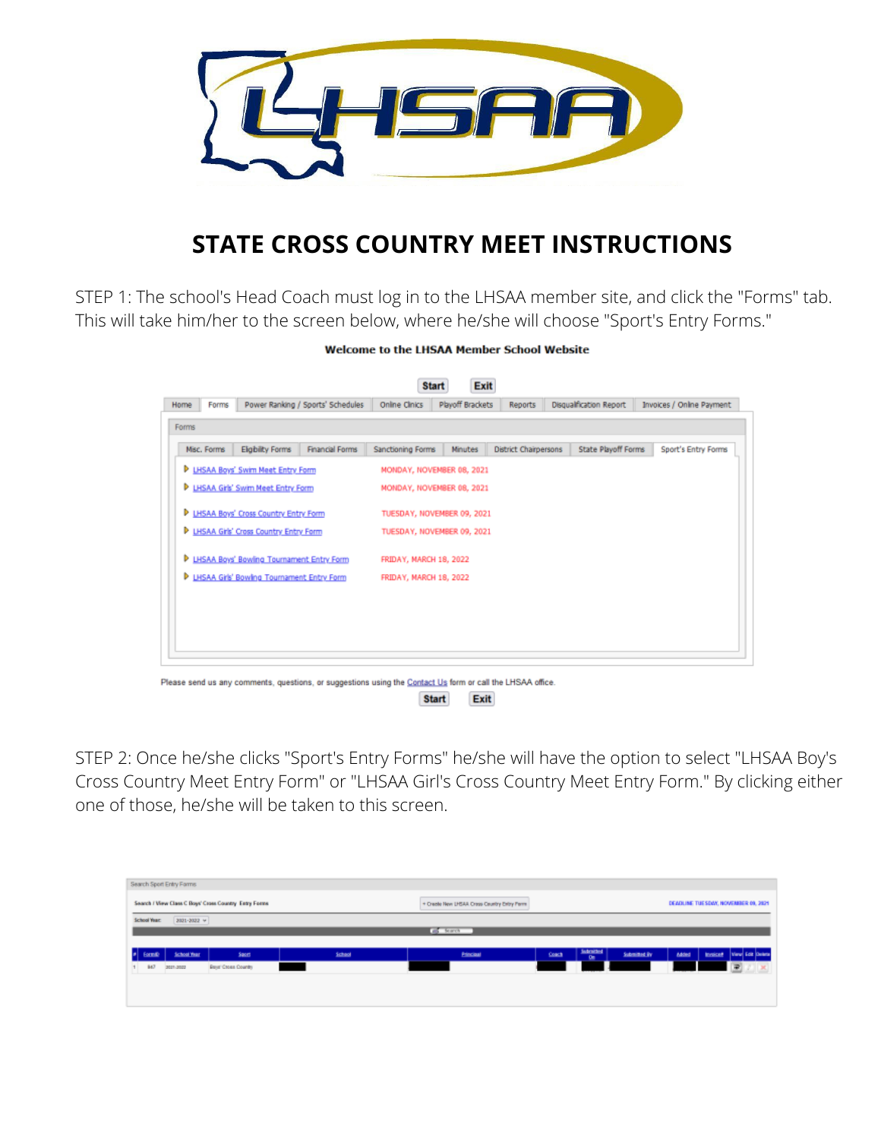

## **STATE CROSS COUNTRY MEET INSTRUCTIONS**

STEP 1: The school's Head Coach must log in to the LHSAA member site, and click the "Forms" tab. This will take him/her to the screen below, where he/she will choose "Sport's Entry Forms."

| <b>Welcome to the LHSAA Member School Website</b> |  |  |  |  |
|---------------------------------------------------|--|--|--|--|
|---------------------------------------------------|--|--|--|--|

|       |             |                                             |                                   |                        | Exit<br><b>Start</b>       |                              |                         |                           |
|-------|-------------|---------------------------------------------|-----------------------------------|------------------------|----------------------------|------------------------------|-------------------------|---------------------------|
| Home  | Forms       |                                             | Power Ranking / Sports' Schedules | Online Clinics         | Playoff Brackets           | <b>Reports</b>               | Disqualification Report | Invoices / Online Payment |
| Forms |             |                                             |                                   |                        |                            |                              |                         |                           |
|       | Misc. Forms | <b>Eligibility Forms</b>                    | <b>Financial Forms</b>            | Sanctioning Forms      | <b>Minutes</b>             | <b>District Chairpersons</b> | State Playoff Forms     | Sport's Entry Forms       |
|       |             | <b>P LHSAA Boys' Swim Meet Entry Form</b>   |                                   |                        | MONDAY, NOVEMBER 08, 2021  |                              |                         |                           |
| Þ.    |             | <b>LHSAA Gris' Swim Meet Entry Form</b>     |                                   |                        | MONDAY, NOVEMBER 08, 2021  |                              |                         |                           |
|       |             | D LHSAA Boys' Cross Country Entry Form      |                                   |                        | TUESDAY, NOVEMBER 09, 2021 |                              |                         |                           |
| Þ     |             | LHSAA Girls' Cross Country Entry Form       |                                   |                        | TUESDAY, NOVEMBER 09, 2021 |                              |                         |                           |
|       |             | P LHSAA Boys' Bowling Tournament Entry Form |                                   | FRIDAY, MARCH 18, 2022 |                            |                              |                         |                           |
| Þ     |             | LHSAA Girls' Bowling Tournament Entry Form  |                                   | FRIDAY, MARCH 18, 2022 |                            |                              |                         |                           |
|       |             |                                             |                                   |                        |                            |                              |                         |                           |
|       |             |                                             |                                   |                        |                            |                              |                         |                           |
|       |             |                                             |                                   |                        |                            |                              |                         |                           |
|       |             |                                             |                                   |                        |                            |                              |                         |                           |

STEP 2: Once he/she clicks "Sport's Entry Forms" he/she will have the option to select "LHSAA Boy's Cross Country Meet Entry Form" or "LHSAA Girl's Cross Country Meet Entry Form." By clicking either one of those, he/she will be taken to this screen.

Exit

**Start** 

|    |                     | Search Sport Entry Forms |                                                       |        |                                             |       |                                     |              |       |                                     |
|----|---------------------|--------------------------|-------------------------------------------------------|--------|---------------------------------------------|-------|-------------------------------------|--------------|-------|-------------------------------------|
|    |                     |                          |                                                       |        |                                             |       |                                     |              |       |                                     |
|    |                     |                          | Search / View Class C Boys' Cross Country Entry Forms |        | + Creete New LHSAA Cress Country Entry Perm |       |                                     |              |       | DEADLINE TUESDAY, NOVEMBER 09, 2021 |
|    | <b>School Year:</b> | 3031-3032 -              |                                                       |        |                                             |       |                                     |              |       |                                     |
|    |                     |                          |                                                       |        | <b>Co</b> Starch                            |       |                                     |              |       |                                     |
|    |                     |                          |                                                       |        |                                             |       |                                     |              |       |                                     |
|    | orm/D               | <b>School Year</b>       | Secret                                                | School | <b>Edeciati</b>                             | Coach | <b>Indexitted</b><br>0 <sub>m</sub> | Submitted By | Added | <b>Invoiced</b> View Cot Delate     |
| H. | 847                 | 3021-3022                | Beet Cross Country                                    |        |                                             |       |                                     |              |       | $\mathbf{E}$                        |
|    |                     |                          |                                                       |        |                                             |       |                                     |              |       |                                     |
|    |                     |                          |                                                       |        |                                             |       |                                     |              |       |                                     |
|    |                     |                          |                                                       |        |                                             |       |                                     |              |       |                                     |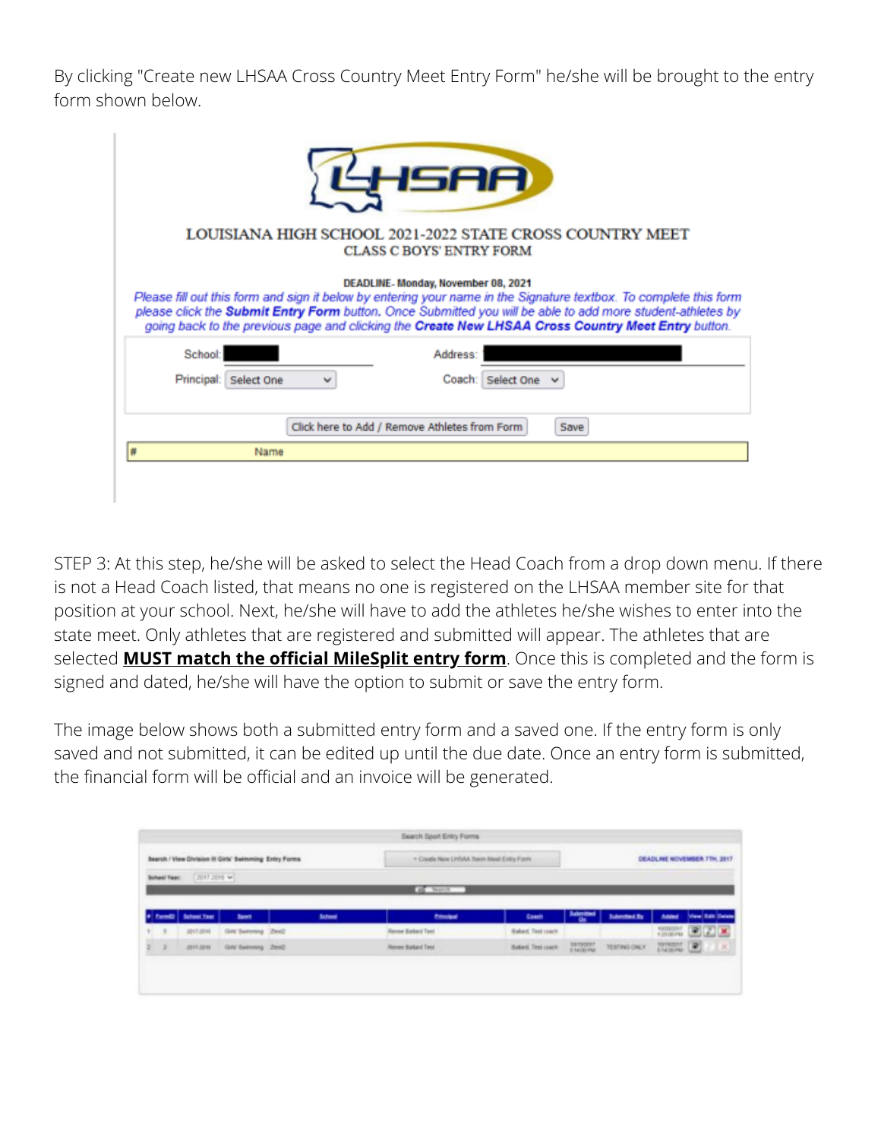By clicking "Create new LHSAA Cross Country Meet Entry Form" he/she will be brought to the entry form shown below.

|                          | SAA                                                                                                                                                                                                                                                                                                                                                                         |
|--------------------------|-----------------------------------------------------------------------------------------------------------------------------------------------------------------------------------------------------------------------------------------------------------------------------------------------------------------------------------------------------------------------------|
|                          | LOUISIANA HIGH SCHOOL 2021-2022 STATE CROSS COUNTRY MEET<br><b>CLASS C BOYS' ENTRY FORM</b>                                                                                                                                                                                                                                                                                 |
|                          | DEADLINE-Monday, November 08, 2021<br>Please fill out this form and sign it below by entering your name in the Signature textbox. To complete this form<br>please click the Submit Entry Form button. Once Submitted you will be able to add more student-athletes by<br>going back to the previous page and clicking the Create New LHSAA Cross Country Meet Entry button. |
| School:                  | Address:                                                                                                                                                                                                                                                                                                                                                                    |
| Principal:<br>Select One | Coach:<br>Select One                                                                                                                                                                                                                                                                                                                                                        |
|                          | Click here to Add / Remove Athletes from Form<br>Save                                                                                                                                                                                                                                                                                                                       |
| Name                     |                                                                                                                                                                                                                                                                                                                                                                             |
|                          |                                                                                                                                                                                                                                                                                                                                                                             |

STEP 3: At this step, he/she will be asked to select the Head Coach from a drop down menu. If there is not a Head Coach listed, that means no one is registered on the LHSAA member site for that position at your school. Next, he/she will have to add the athletes he/she wishes to enter into the state meet. Only athletes that are registered and submitted will appear. The athletes that are selected **MUST match the official MileSplit entry form**. Once this is completed and the form is signed and dated, he/she will have the option to submit or save the entry form.

The image below shows both a submitted entry form and a saved one. If the entry form is only saved and not submitted, it can be edited up until the due date. Once an entry form is submitted, the financial form will be official and an invoice will be generated.

|              |                    | Search / View Division III Girls' Swimming Entry Forms |                | + Create New LHSAA Sweet Meet Entry Form |                          |                       |                                                  | DEADLINE NOVEMBER 7TH, 2017 |                  |  |
|--------------|--------------------|--------------------------------------------------------|----------------|------------------------------------------|--------------------------|-----------------------|--------------------------------------------------|-----------------------------|------------------|--|
| School Year: | $2017.3018$ $W$    |                                                        |                |                                          |                          |                       |                                                  |                             |                  |  |
|              |                    |                                                        |                | <b>BE NAME</b>                           |                          |                       |                                                  |                             |                  |  |
|              |                    |                                                        |                |                                          |                          |                       |                                                  |                             |                  |  |
|              | <b>Submet True</b> | <b>Basers</b>                                          | <b>Salvent</b> | <b>Primate</b>                           | Comb                     | Submitted<br>$\alpha$ | <b><i><u><u><b>Duberstood By</b></u></u></i></b> | Account                     | View Edit Delate |  |
| ×            | 2017-2016          | Grid Swimming (Dest)                                   |                | Renee Baland Test                        | <b>Baked, Test coach</b> |                       |                                                  |                             | 12000000 BL      |  |